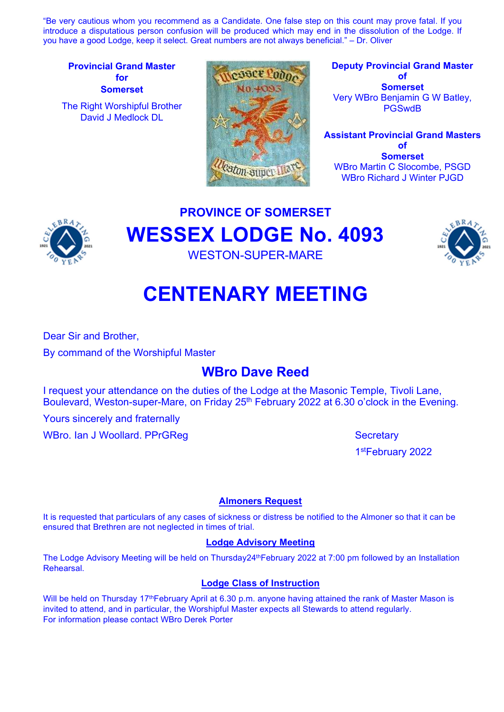"Be very cautious whom you recommend as a Candidate. One false step on this count may prove fatal. If you introduce a disputatious person confusion will be produced which may end in the dissolution of the Lodge. If you have a good Lodge, keep it select. Great numbers are not always beneficial." – Dr. Oliver

Provincial Grand Master for **Somerset** 

The Right Worshipful Brother David J Medlock DL



Deputy Provincial Grand Master of Somerset Very WBro Benjamin G W Batley, **PGSwdB** 

Assistant Provincial Grand Masters of **Somerset** WBro Martin C Slocombe, PSGD WBro Richard J Winter PJGD



PROVINCE OF SOMERSET WESSEX LODGE No. 4093 WESTON-SUPER-MARE



# CENTENARY MEETING

Dear Sir and Brother,

By command of the Worshipful Master

# WBro Dave Reed

I request your attendance on the duties of the Lodge at the Masonic Temple, Tivoli Lane, Boulevard, Weston-super-Mare, on Friday 25<sup>th</sup> February 2022 at 6.30 o'clock in the Evening.

Yours sincerely and fraternally

WBro. Ian J Woollard. PPrGReg Secretary Secretary

1stFebruary 2022

# Almoners Request

It is requested that particulars of any cases of sickness or distress be notified to the Almoner so that it can be ensured that Brethren are not neglected in times of trial.

### Lodge Advisory Meeting

The Lodge Advisory Meeting will be held on Thursday24<sup>th</sup>February 2022 at 7:00 pm followed by an Installation Rehearsal.

# Lodge Class of Instruction

Will be held on Thursday 17<sup>th</sup>February April at 6.30 p.m. anyone having attained the rank of Master Mason is invited to attend, and in particular, the Worshipful Master expects all Stewards to attend regularly. For information please contact WBro Derek Porter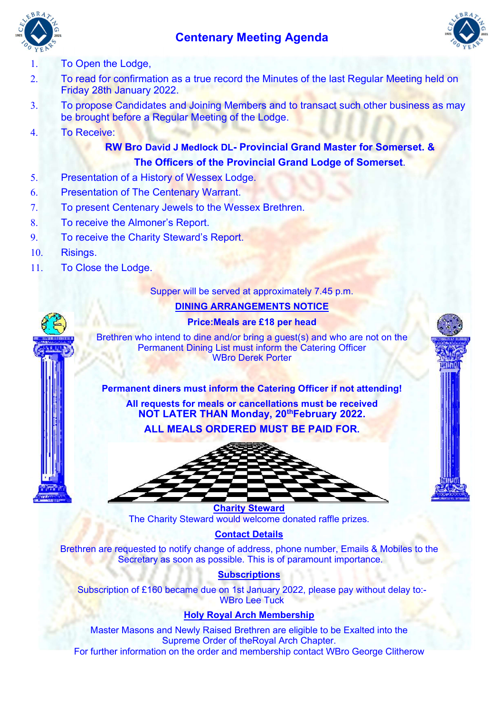# Centenary Meeting Agenda





### 1. To Open the Lodge,

- 2. To read for confirmation as a true record the Minutes of the last Regular Meeting held on Friday 28th January 2022.
- 3. To propose Candidates and Joining Members and to transact such other business as may be brought before a Regular Meeting of the Lodge.
- 4. To Receive:

# RW Bro David J Medlock DL- Provincial Grand Master for Somerset. & The Officers of the Provincial Grand Lodge of Somerset.

- 5. Presentation of a History of Wessex Lodge.
- 6. Presentation of The Centenary Warrant.
- 7. To present Centenary Jewels to the Wessex Brethren.
- 8. To receive the Almoner's Report.
- 9. To receive the Charity Steward's Report.
- 10. Risings.
- 11. To Close the Lodge.

#### Supper will be served at approximately 7.45 p.m.

#### DINING ARRANGEMENTS NOTICE

#### Price:Meals are £18 per head

Brethren who intend to dine and/or bring a guest(s) and who are not on the Permanent Dining List must inform the Catering Officer WBro Derek Porter

#### Permanent diners must inform the Catering Officer if not attending!

All requests for meals or cancellations must be received NOT LATER THAN Monday, 20<sup>th</sup>February 2022.

ALL MEALS ORDERED MUST BE PAID FOR.



Charity Steward The Charity Steward would welcome donated raffle prizes.

### Contact Details

Brethren are requested to notify change of address, phone number, Emails & Mobiles to the Secretary as soon as possible. This is of paramount importance.

#### **Subscriptions**

Subscription of £160 became due on 1st January 2022, please pay without delay to:- WBro Lee Tuck

## Holy Royal Arch Membership

Master Masons and Newly Raised Brethren are eligible to be Exalted into the Supreme Order of theRoyal Arch Chapter. For further information on the order and membership contact WBro George Clitherow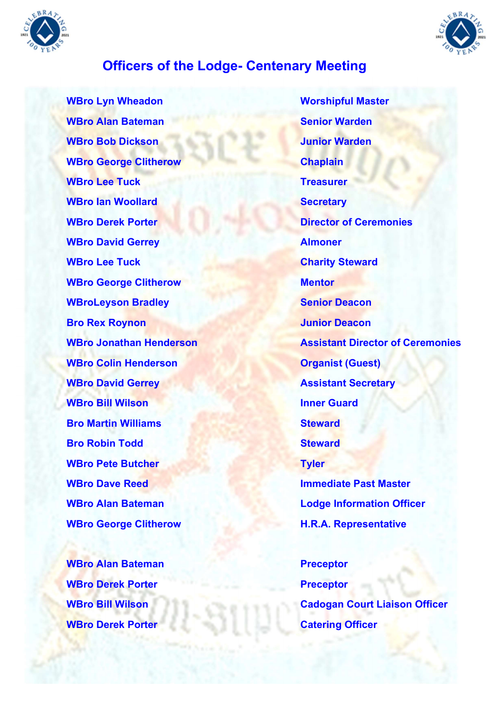



# Officers of the Lodge- Centenary Meeting

**WBro Alan Bateman Senior Warden** Senior Warden **WBro Bob Dickson** Version And Junior Warden WBro George Clitherow Chaplain WBro Lee Tuck Treasurer WBro Ian Woollard Secretary **WBro Derek Porter Community Community Community Porter Director of Ceremonies** WBro David Gerrey **Almonen** WBro Lee Tuck Charity Steward WBro George Clitherow Mentor WBroLeyson Bradley North Senior Deacon **Bro Rex Roynon** Junior Deacon WBro Colin Henderson **Organist (Guest)** WBro David Gerrey **Assistant Secretary** WBro Bill Wilson **Inner Guard Bro Martin Williams** Steward **Bro Robin Todd** Steward WBro Pete Butcher Tyler **WBro Dave Reed Immediate Past Master** WBro George Clitherow **H.R.A. Representative** 

WBro Alan Bateman **Preceptor** WBro Derek Porter Preceptor WBro Derek Porter Catering Officer

WBro Lyn Wheadon Worshipful Master WBro Jonathan Henderson **Assistant Director of Ceremonies** WBro Alan Bateman **Mateman Lodge Information Officer** 

WBro Bill Wilson Cadogan Court Liaison Officer